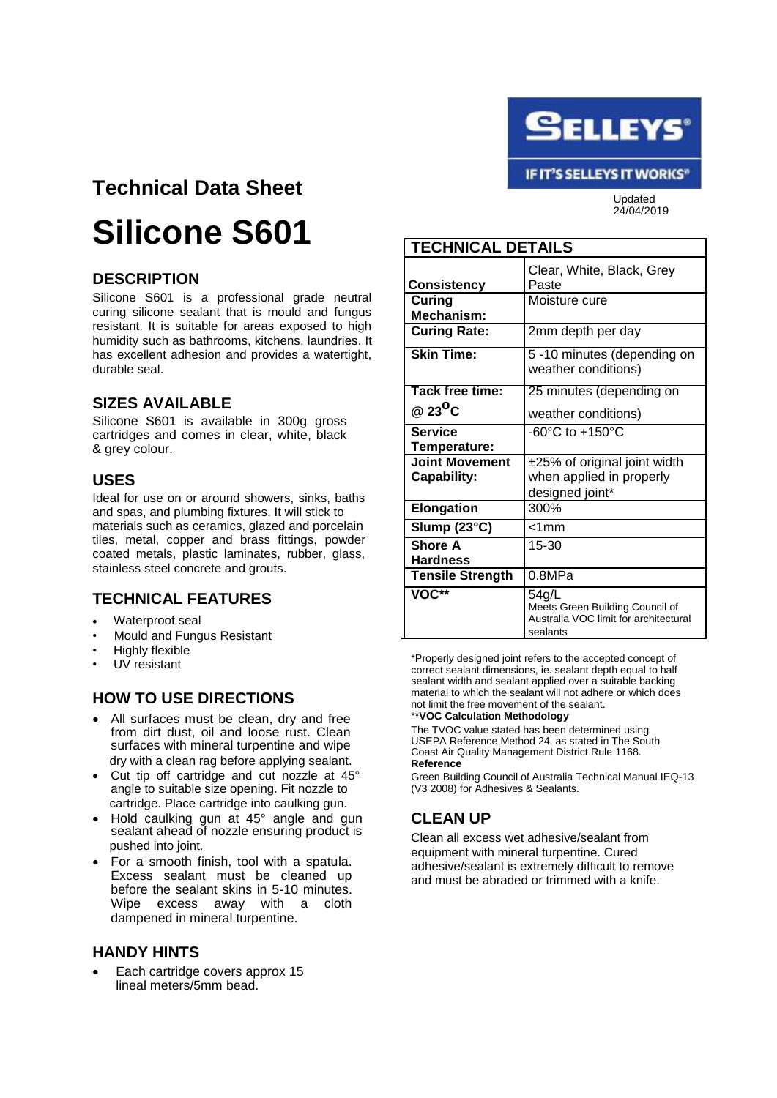

## **Technical Data Sheet**

# **Silicone S601**

#### **DESCRIPTION**

Silicone S601 is a professional grade neutral curing silicone sealant that is mould and fungus resistant. It is suitable for areas exposed to high humidity such as bathrooms, kitchens, laundries. It has excellent adhesion and provides a watertight, durable seal.

#### **SIZES AVAILABLE**

Silicone S601 is available in 300g gross cartridges and comes in clear, white, black & grey colour.

#### **USES**

Ideal for use on or around showers, sinks, baths and spas, and plumbing fixtures. It will stick to materials such as ceramics, glazed and porcelain tiles, metal, copper and brass fittings, powder coated metals, plastic laminates, rubber, glass, stainless steel concrete and grouts.

### **TECHNICAL FEATURES**

- Waterproof seal
- Mould and Fungus Resistant
- Highly flexible
- UV resistant

#### **HOW TO USE DIRECTIONS**

- All surfaces must be clean, dry and free from dirt dust, oil and loose rust. Clean surfaces with mineral turpentine and wipe dry with a clean rag before applying sealant.
- Cut tip off cartridge and cut nozzle at 45° angle to suitable size opening. Fit nozzle to cartridge. Place cartridge into caulking gun.
- Hold caulking gun at 45° angle and gun sealant ahead of nozzle ensuring product is pushed into joint.
- For a smooth finish, tool with a spatula. Excess sealant must be cleaned up before the sealant skins in 5-10 minutes. Wipe excess away with a cloth dampened in mineral turpentine.

#### **HANDY HINTS**

Each cartridge covers approx 15 lineal meters/5mm bead.

| <b>TECHNICAL DETAILS</b>                    |                                                                                               |
|---------------------------------------------|-----------------------------------------------------------------------------------------------|
| Consistency                                 | Clear, White, Black, Grey<br>Paste                                                            |
| Curing<br>Mechanism:                        | Moisture cure                                                                                 |
| <b>Curing Rate:</b>                         | 2mm depth per day                                                                             |
| <b>Skin Time:</b>                           | 5-10 minutes (depending on<br>weather conditions)                                             |
| Tack free time:                             | 25 minutes (depending on                                                                      |
| @ 23 $^{\circ}$ C                           | weather conditions)                                                                           |
| <b>Service</b><br>Temperature:              | $-60^{\circ}$ C to $+150^{\circ}$ C                                                           |
| <b>Joint Movement</b><br><b>Capability:</b> | ±25% of original joint width<br>when applied in properly<br>designed joint*                   |
| <b>Elongation</b>                           | 300%                                                                                          |
| Slump (23°C)                                | $< 1$ mm                                                                                      |
| <b>Shore A</b><br><b>Hardness</b>           | $15 - 30$                                                                                     |
| <b>Tensile Strength</b>                     | 0.8MPa                                                                                        |
| VOC**                                       | 54g/L<br>Meets Green Building Council of<br>Australia VOC limit for architectural<br>sealants |

\*Properly designed joint refers to the accepted concept of correct sealant dimensions, ie. sealant depth equal to half sealant width and sealant applied over a suitable backing material to which the sealant will not adhere or which does not limit the free movement of the sealant.

\*\***VOC Calculation Methodology**

The TVOC value stated has been determined using USEPA Reference Method 24, as stated in The South Coast Air Quality Management District Rule 1168. **Reference**

Green Building Council of Australia Technical Manual IEQ-13 (V3 2008) for Adhesives & Sealants.

### **CLEAN UP**

Clean all excess wet adhesive/sealant from equipment with mineral turpentine. Cured adhesive/sealant is extremely difficult to remove and must be abraded or trimmed with a knife.

IF IT'S SELLEYS IT WORKS" Updated

24/04/2019